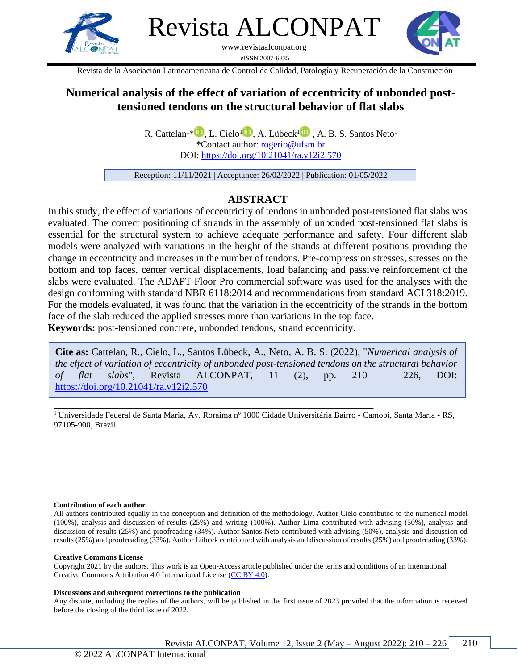

Revista ALCONPAT

www.revistaalconpat.org eISSN 2007-6835



Revista de la Asociación Latinoamericana de Control de Calidad, Patología y Recuperación de la Construcción

# **Numerical analysis of the effect of variation of eccentricity of unbonded posttensioned tendons on the structural behavior of flat slabs**

R. Cattelan<sup>1[\\*](https://orcid.org/0000-0001-6622-2210)</sup> D[,](https://orcid.org/0000-0001-9716-4973) L. Cielo<sup>[1](https://orcid.org/0000-0001-5772-9933)</sup> D, A. Lübeck<sup>1</sup> D, A. B. S. Santos Neto<sup>1</sup> \*Contact author: [rogerio@ufsm.br](mailto:rogerio@ufsm.br) DOI: <https://doi.org/10.21041/ra.v12i2.570>

Reception: 11/11/2021 | Acceptance: 26/02/2022 | Publication: 01/05/2022

# **ABSTRACT**

In this study, the effect of variations of eccentricity of tendons in unbonded post-tensioned flat slabs was evaluated. The correct positioning of strands in the assembly of unbonded post-tensioned flat slabs is essential for the structural system to achieve adequate performance and safety. Four different slab models were analyzed with variations in the height of the strands at different positions providing the change in eccentricity and increases in the number of tendons. Pre-compression stresses, stresses on the bottom and top faces, center vertical displacements, load balancing and passive reinforcement of the slabs were evaluated. The ADAPT Floor Pro commercial software was used for the analyses with the design conforming with standard NBR 6118:2014 and recommendations from standard ACI 318:2019. For the models evaluated, it was found that the variation in the eccentricity of the strands in the bottom face of the slab reduced the applied stresses more than variations in the top face.

**Keywords:** post-tensioned concrete, unbonded tendons, strand eccentricity.

**Cite as:** Cattelan, R., Cielo, L., Santos Lübeck, A., Neto, A. B. S. (2022), "*Numerical analysis of the effect of variation of eccentricity of unbonded post-tensioned tendons on the structural behavior of flat slabs*", Revista ALCONPAT, 11 (2), pp. 210 – 226, DOI: <https://doi.org/10.21041/ra.v12i2.570>

\_\_\_\_\_\_\_\_\_\_\_\_\_\_\_\_\_\_\_\_\_\_\_\_\_\_\_\_\_\_\_\_\_\_\_\_\_\_\_\_\_\_\_\_\_\_\_\_\_\_\_\_\_\_\_\_\_\_\_\_\_\_\_ <sup>1</sup> Universidade Federal de Santa Maria, Av. Roraima nº 1000 Cidade Universitária Bairro - Camobi, Santa Maria - RS, 97105-900, Brazil.

#### **Contribution of each author**

All authors contributed equally in the conception and definition of the methodology. Author Cielo contributed to the numerical model (100%), analysis and discussion of results (25%) and writing (100%). Author Lima contributed with advising (50%), analysis and discussion of results (25%) and proofreading (34%). Author Santos Neto contributed with advising (50%), analysis and discussion od results (25%) and proofreading (33%). Author Lübeck contributed with analysis and discussion of results (25%) and proofreading (33%).

#### **Creative Commons License**

Copyright 2021 by the authors. This work is an Open-Access article published under the terms and conditions of an International Creative Commons Attribution 4.0 International License [\(CC BY 4.0\)](https://creativecommons.org/licenses/by-nc-nd/4.0/deed.es).

#### **Discussions and subsequent corrections to the publication**

Any dispute, including the replies of the authors, will be published in the first issue of 2023 provided that the information is received before the closing of the third issue of 2022.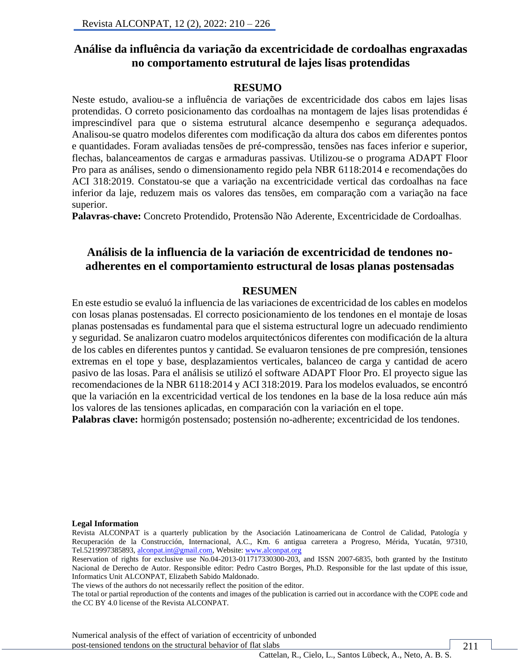# **Análise da influência da variação da excentricidade de cordoalhas engraxadas no comportamento estrutural de lajes lisas protendidas**

### **RESUMO**

Neste estudo, avaliou-se a influência de variações de excentricidade dos cabos em lajes lisas protendidas. O correto posicionamento das cordoalhas na montagem de lajes lisas protendidas é imprescindível para que o sistema estrutural alcance desempenho e segurança adequados. Analisou-se quatro modelos diferentes com modificação da altura dos cabos em diferentes pontos e quantidades. Foram avaliadas tensões de pré-compressão, tensões nas faces inferior e superior, flechas, balanceamentos de cargas e armaduras passivas. Utilizou-se o programa ADAPT Floor Pro para as análises, sendo o dimensionamento regido pela NBR 6118:2014 e recomendações do ACI 318:2019. Constatou-se que a variação na excentricidade vertical das cordoalhas na face inferior da laje, reduzem mais os valores das tensões, em comparação com a variação na face superior.

**Palavras-chave:** Concreto Protendido, Protensão Não Aderente, Excentricidade de Cordoalhas.

# **Análisis de la influencia de la variación de excentricidad de tendones noadherentes en el comportamiento estructural de losas planas postensadas**

#### **RESUMEN**

En este estudio se evaluó la influencia de las variaciones de excentricidad de los cables en modelos con losas planas postensadas. El correcto posicionamiento de los tendones en el montaje de losas planas postensadas es fundamental para que el sistema estructural logre un adecuado rendimiento y seguridad. Se analizaron cuatro modelos arquitectónicos diferentes con modificación de la altura de los cables en diferentes puntos y cantidad. Se evaluaron tensiones de pre compresión, tensiones extremas en el tope y base, desplazamientos verticales, balanceo de carga y cantidad de acero pasivo de las losas. Para el análisis se utilizó el software ADAPT Floor Pro. El proyecto sigue las recomendaciones de la NBR 6118:2014 y ACI 318:2019. Para los modelos evaluados, se encontró que la variación en la excentricidad vertical de los tendones en la base de la losa reduce aún más los valores de las tensiones aplicadas, en comparación con la variación en el tope.

**Palabras clave:** hormigón postensado; postensión no-adherente; excentricidad de los tendones.

#### **Legal Information**

Revista ALCONPAT is a quarterly publication by the Asociación Latinoamericana de Control de Calidad, Patología y Recuperación de la Construcción, Internacional, A.C., Km. 6 antigua carretera a Progreso, Mérida, Yucatán, 97310, Tel.5219997385893[, alconpat.int@gmail.com,](mailto:alconpat.int@gmail.com) Website: [www.alconpat.org](http://www.alconpat.org/)

Reservation of rights for exclusive use No.04-2013-011717330300-203, and ISSN 2007-6835, both granted by the Instituto Nacional de Derecho de Autor. Responsible editor: Pedro Castro Borges, Ph.D. Responsible for the last update of this issue, Informatics Unit ALCONPAT, Elizabeth Sabido Maldonado.

The views of the authors do not necessarily reflect the position of the editor.

The total or partial reproduction of the contents and images of the publication is carried out in accordance with the COPE code and the CC BY 4.0 license of the Revista ALCONPAT.

Numerical analysis of the effect of variation of eccentricity of unbonded post-tensioned tendons on the structural behavior of flat slabs

Cattelan, R., Cielo, L., Santos Lübeck, A., Neto, A. B. S.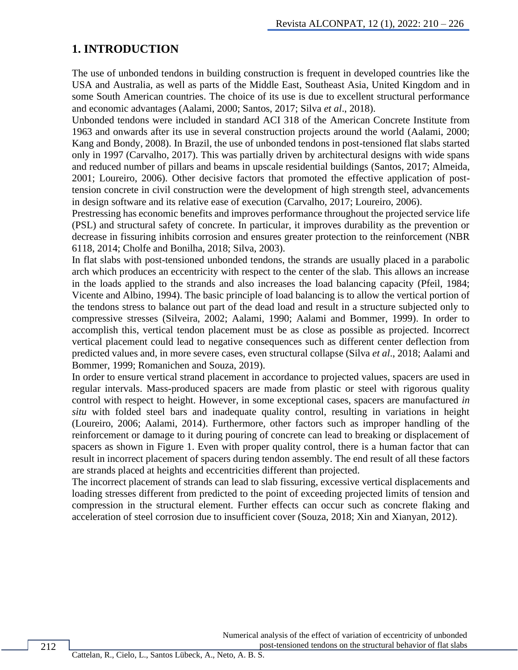## **1. INTRODUCTION**

The use of unbonded tendons in building construction is frequent in developed countries like the USA and Australia, as well as parts of the Middle East, Southeast Asia, United Kingdom and in some South American countries. The choice of its use is due to excellent structural performance and economic advantages (Aalami, 2000; Santos, 2017; Silva *et al*., 2018).

Unbonded tendons were included in standard ACI 318 of the American Concrete Institute from 1963 and onwards after its use in several construction projects around the world (Aalami, 2000; Kang and Bondy, 2008). In Brazil, the use of unbonded tendons in post-tensioned flat slabs started only in 1997 (Carvalho, 2017). This was partially driven by architectural designs with wide spans and reduced number of pillars and beams in upscale residential buildings (Santos, 2017; Almeida, 2001; Loureiro, 2006). Other decisive factors that promoted the effective application of posttension concrete in civil construction were the development of high strength steel, advancements in design software and its relative ease of execution (Carvalho, 2017; Loureiro, 2006).

Prestressing has economic benefits and improves performance throughout the projected service life (PSL) and structural safety of concrete. In particular, it improves durability as the prevention or decrease in fissuring inhibits corrosion and ensures greater protection to the reinforcement (NBR 6118, 2014; Cholfe and Bonilha, 2018; Silva, 2003).

In flat slabs with post-tensioned unbonded tendons, the strands are usually placed in a parabolic arch which produces an eccentricity with respect to the center of the slab. This allows an increase in the loads applied to the strands and also increases the load balancing capacity (Pfeil, 1984; Vicente and Albino, 1994). The basic principle of load balancing is to allow the vertical portion of the tendons stress to balance out part of the dead load and result in a structure subjected only to compressive stresses (Silveira, 2002; Aalami, 1990; Aalami and Bommer, 1999). In order to accomplish this, vertical tendon placement must be as close as possible as projected. Incorrect vertical placement could lead to negative consequences such as different center deflection from predicted values and, in more severe cases, even structural collapse (Silva *et al*., 2018; Aalami and Bommer, 1999; Romanichen and Souza, 2019).

In order to ensure vertical strand placement in accordance to projected values, spacers are used in regular intervals. Mass-produced spacers are made from plastic or steel with rigorous quality control with respect to height. However, in some exceptional cases, spacers are manufactured *in situ* with folded steel bars and inadequate quality control, resulting in variations in height (Loureiro, 2006; Aalami, 2014). Furthermore, other factors such as improper handling of the reinforcement or damage to it during pouring of concrete can lead to breaking or displacement of spacers as shown in Figure 1. Even with proper quality control, there is a human factor that can result in incorrect placement of spacers during tendon assembly. The end result of all these factors are strands placed at heights and eccentricities different than projected.

The incorrect placement of strands can lead to slab fissuring, excessive vertical displacements and loading stresses different from predicted to the point of exceeding projected limits of tension and compression in the structural element. Further effects can occur such as concrete flaking and acceleration of steel corrosion due to insufficient cover (Souza, 2018; Xin and Xianyan, 2012).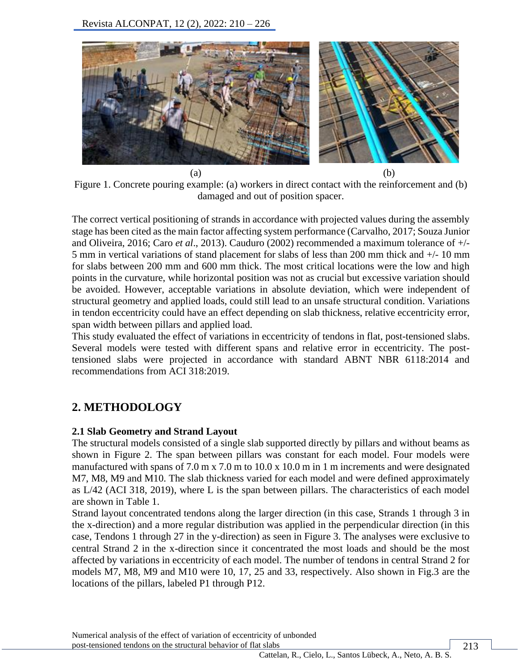

Figure 1. Concrete pouring example: (a) workers in direct contact with the reinforcement and (b) damaged and out of position spacer.

The correct vertical positioning of strands in accordance with projected values during the assembly stage has been cited as the main factor affecting system performance (Carvalho, 2017; Souza Junior and Oliveira, 2016; [Ca](https://www.mendeley.com/authors/55481419200)ro *et al*., 2013). Cauduro (2002) recommended a maximum tolerance of +/- 5 mm in vertical variations of stand placement for slabs of less than 200 mm thick and +/- 10 mm for slabs between 200 mm and 600 mm thick. The most critical locations were the low and high points in the curvature, while horizontal position was not as crucial but excessive variation should be avoided. However, acceptable variations in absolute deviation, which were independent of structural geometry and applied loads, could still lead to an unsafe structural condition. Variations in tendon eccentricity could have an effect depending on slab thickness, relative eccentricity error, span width between pillars and applied load.

This study evaluated the effect of variations in eccentricity of tendons in flat, post-tensioned slabs. Several models were tested with different spans and relative error in eccentricity. The posttensioned slabs were projected in accordance with standard ABNT NBR 6118:2014 and recommendations from ACI 318:2019.

# **2. METHODOLOGY**

## **2.1 Slab Geometry and Strand Layout**

The structural models consisted of a single slab supported directly by pillars and without beams as shown in Figure 2. The span between pillars was constant for each model. Four models were manufactured with spans of 7.0 m x 7.0 m to 10.0 x 10.0 m in 1 m increments and were designated M7, M8, M9 and M10. The slab thickness varied for each model and were defined approximately as L/42 (ACI 318, 2019), where L is the span between pillars. The characteristics of each model are shown in Table 1.

Strand layout concentrated tendons along the larger direction (in this case, Strands 1 through 3 in the x-direction) and a more regular distribution was applied in the perpendicular direction (in this case, Tendons 1 through 27 in the y-direction) as seen in Figure 3. The analyses were exclusive to central Strand 2 in the x-direction since it concentrated the most loads and should be the most affected by variations in eccentricity of each model. The number of tendons in central Strand 2 for models M7, M8, M9 and M10 were 10, 17, 25 and 33, respectively. Also shown in Fig.3 are the locations of the pillars, labeled P1 through P12.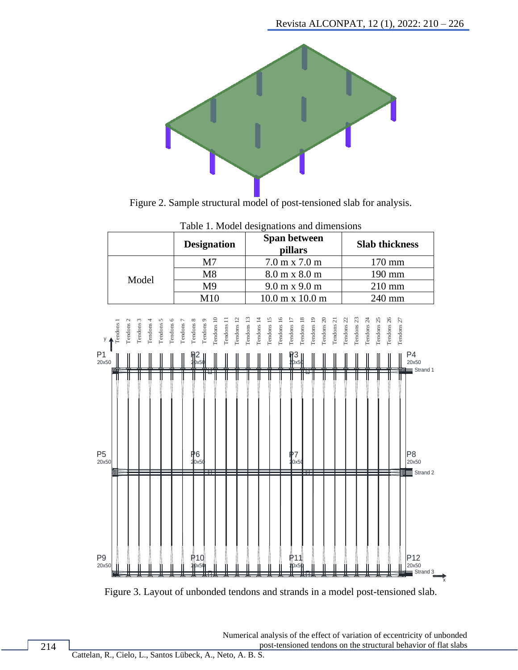

Figure 2. Sample structural model of post-tensioned slab for analysis.



Table 1. Model designations and dimensions



 Numerical analysis of the effect of variation of eccentricity of unbonded post-tensioned tendons on the structural behavior of flat slabs

x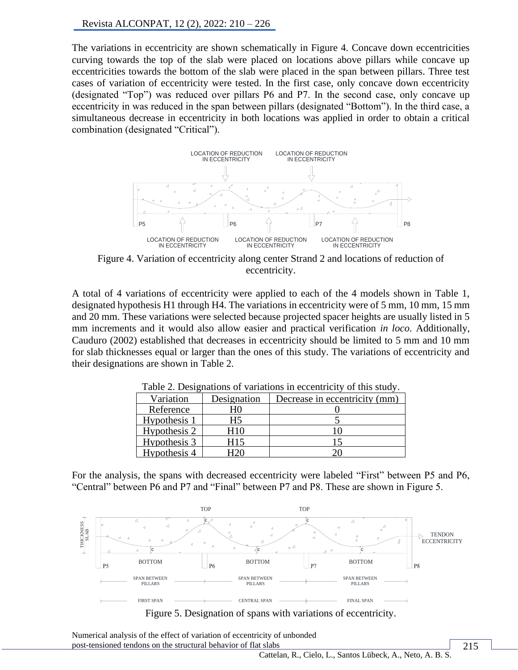The variations in eccentricity are shown schematically in Figure 4. Concave down eccentricities curving towards the top of the slab were placed on locations above pillars while concave up eccentricities towards the bottom of the slab were placed in the span between pillars. Three test cases of variation of eccentricity were tested. In the first case, only concave down eccentricity (designated "Top") was reduced over pillars P6 and P7. In the second case, only concave up eccentricity in was reduced in the span between pillars (designated "Bottom"). In the third case, a simultaneous decrease in eccentricity in both locations was applied in order to obtain a critical combination (designated "Critical").



Figure 4. Variation of eccentricity along center Strand 2 and locations of reduction of eccentricity.

A total of 4 variations of eccentricity were applied to each of the 4 models shown in Table 1, designated hypothesis H1 through H4. The variations in eccentricity were of 5 mm, 10 mm, 15 mm and 20 mm. These variations were selected because projected spacer heights are usually listed in 5 mm increments and it would also allow easier and practical verification *in loco*. Additionally, Cauduro (2002) established that decreases in eccentricity should be limited to 5 mm and 10 mm for slab thicknesses equal or larger than the ones of this study. The variations of eccentricity and their designations are shown in Table 2.

| Variation    | Designation | Decrease in eccentricity (mm) |
|--------------|-------------|-------------------------------|
| Reference    |             |                               |
| Hypothesis 1 | H5          |                               |
| Hypothesis 2 | H10         |                               |
| Hypothesis 3 | H15         |                               |
| Hypothesis 4 |             |                               |

Table 2. Designations of variations in eccentricity of this study.

For the analysis, the spans with decreased eccentricity were labeled "First" between P5 and P6, "Central" between P6 and P7 and "Final" between P7 and P8. These are shown in Figure 5.



Numerical analysis of the effect of variation of eccentricity of unbonded post-tensioned tendons on the structural behavior of flat slabs

Cattelan, R., Cielo, L., Santos Lübeck, A., Neto, A. B. S.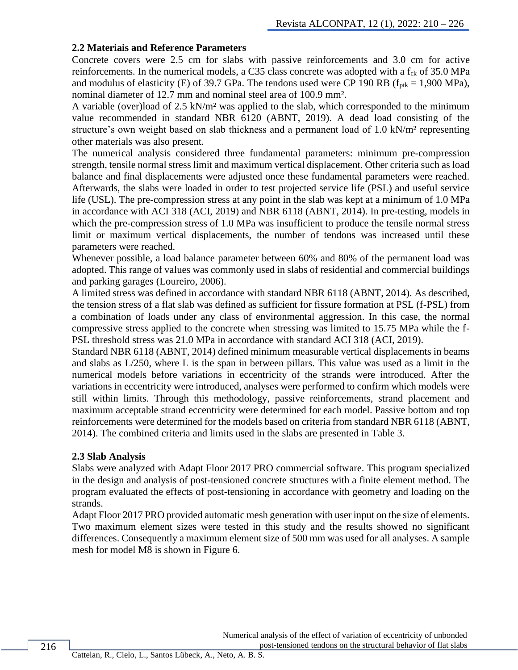#### **2.2 Materiais and Reference Parameters**

Concrete covers were 2.5 cm for slabs with passive reinforcements and 3.0 cm for active reinforcements. In the numerical models, a C35 class concrete was adopted with a  $f_{ck}$  of 35.0 MPa and modulus of elasticity (E) of 39.7 GPa. The tendons used were CP 190 RB ( $f_{\text{ptk}} = 1,900 \text{ MPa}$ ), nominal diameter of 12.7 mm and nominal steel area of 100.9 mm².

A variable (over)load of 2.5 kN/m² was applied to the slab, which corresponded to the minimum value recommended in standard NBR 6120 (ABNT, 2019). A dead load consisting of the structure's own weight based on slab thickness and a permanent load of 1.0 kN/m² representing other materials was also present.

The numerical analysis considered three fundamental parameters: minimum pre-compression strength, tensile normal stress limit and maximum vertical displacement. Other criteria such as load balance and final displacements were adjusted once these fundamental parameters were reached. Afterwards, the slabs were loaded in order to test projected service life (PSL) and useful service life (USL). The pre-compression stress at any point in the slab was kept at a minimum of 1.0 MPa in accordance with ACI 318 (ACI, 2019) and NBR 6118 (ABNT, 2014). In pre-testing, models in which the pre-compression stress of 1.0 MPa was insufficient to produce the tensile normal stress limit or maximum vertical displacements, the number of tendons was increased until these parameters were reached.

Whenever possible, a load balance parameter between 60% and 80% of the permanent load was adopted. This range of values was commonly used in slabs of residential and commercial buildings and parking garages (Loureiro, 2006).

A limited stress was defined in accordance with standard NBR 6118 (ABNT, 2014). As described, the tension stress of a flat slab was defined as sufficient for fissure formation at PSL (f-PSL) from a combination of loads under any class of environmental aggression. In this case, the normal compressive stress applied to the concrete when stressing was limited to 15.75 MPa while the f-PSL threshold stress was 21.0 MPa in accordance with standard ACI 318 (ACI, 2019).

Standard NBR 6118 (ABNT, 2014) defined minimum measurable vertical displacements in beams and slabs as L/250, where L is the span in between pillars. This value was used as a limit in the numerical models before variations in eccentricity of the strands were introduced. After the variations in eccentricity were introduced, analyses were performed to confirm which models were still within limits. Through this methodology, passive reinforcements, strand placement and maximum acceptable strand eccentricity were determined for each model. Passive bottom and top reinforcements were determined for the models based on criteria from standard NBR 6118 (ABNT, 2014). The combined criteria and limits used in the slabs are presented in Table 3.

#### **2.3 Slab Analysis**

Slabs were analyzed with Adapt Floor 2017 PRO commercial software. This program specialized in the design and analysis of post-tensioned concrete structures with a finite element method. The program evaluated the effects of post-tensioning in accordance with geometry and loading on the strands.

Adapt Floor 2017 PRO provided automatic mesh generation with user input on the size of elements. Two maximum element sizes were tested in this study and the results showed no significant differences. Consequently a maximum element size of 500 mm was used for all analyses. A sample mesh for model M8 is shown in Figure 6.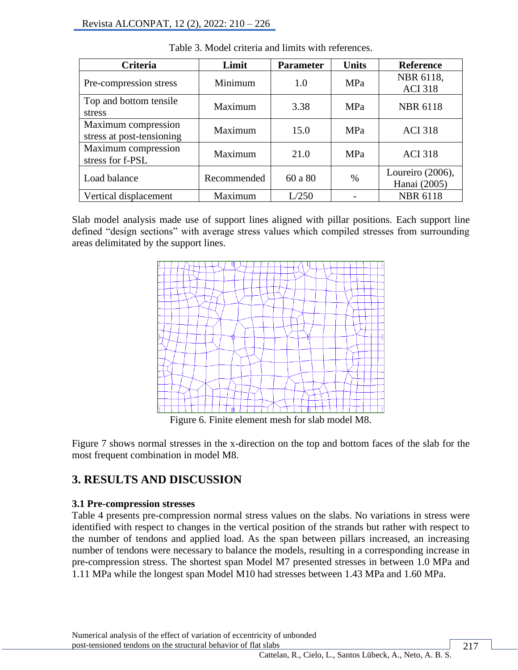| Criteria                                         | Limit       | <b>Parameter</b> | <b>Units</b> | <b>Reference</b>                 |
|--------------------------------------------------|-------------|------------------|--------------|----------------------------------|
| Pre-compression stress                           | Minimum     | 1.0              | MPa          | NBR 6118,<br><b>ACI 318</b>      |
| Top and bottom tensile<br>stress                 | Maximum     | 3.38             | MPa          | <b>NBR 6118</b>                  |
| Maximum compression<br>stress at post-tensioning | Maximum     | 15.0             | MPa          | <b>ACI 318</b>                   |
| Maximum compression<br>stress for f-PSL          | Maximum     | 21.0             | MPa          | <b>ACI 318</b>                   |
| Load balance                                     | Recommended | 60 a 80          | $\%$         | Loureiro (2006),<br>Hanai (2005) |
| Vertical displacement                            | Maximum     | L/250            |              | <b>NBR 6118</b>                  |

Table 3. Model criteria and limits with references.

Slab model analysis made use of support lines aligned with pillar positions. Each support line defined "design sections" with average stress values which compiled stresses from surrounding areas delimitated by the support lines.



Figure 6. Finite element mesh for slab model M8.

Figure 7 shows normal stresses in the x-direction on the top and bottom faces of the slab for the most frequent combination in model M8.

# **3. RESULTS AND DISCUSSION**

## **3.1 Pre-compression stresses**

Table 4 presents pre-compression normal stress values on the slabs. No variations in stress were identified with respect to changes in the vertical position of the strands but rather with respect to the number of tendons and applied load. As the span between pillars increased, an increasing number of tendons were necessary to balance the models, resulting in a corresponding increase in pre-compression stress. The shortest span Model M7 presented stresses in between 1.0 MPa and 1.11 MPa while the longest span Model M10 had stresses between 1.43 MPa and 1.60 MPa.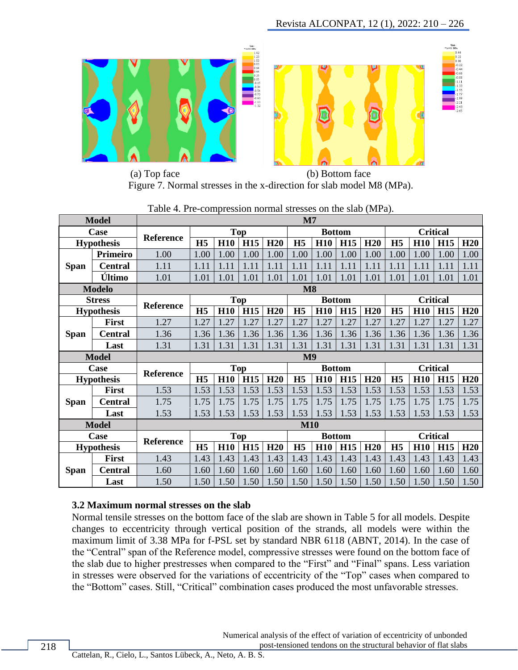

 (a) Top face (b) Bottom face Figure 7. Normal stresses in the x-direction for slab model M8 (MPa).

|             | <b>Model</b>      |                  |                |                             |                 |      | $\mathbf{M}$   |               |            |      |                 |                 |            |      |
|-------------|-------------------|------------------|----------------|-----------------------------|-----------------|------|----------------|---------------|------------|------|-----------------|-----------------|------------|------|
|             | Case              | <b>Reference</b> |                |                             | <b>Top</b>      |      | <b>Bottom</b>  |               |            |      |                 | <b>Critical</b> |            |      |
|             | <b>Hypothesis</b> |                  | H <sub>5</sub> | H <sub>10</sub>             | <b>H15</b>      | H20  | H <sub>5</sub> | <b>H10</b>    | <b>H15</b> | H20  | H <sub>5</sub>  | H <sub>10</sub> | <b>H15</b> | H20  |
|             | <b>Primeiro</b>   | 1.00             | 1.00           | 1.00                        | 1.00            | 1.00 | 1.00           | 1.00          | 1.00       | 1.00 | 1.00            | 1.00            | 1.00       | 1.00 |
| <b>Span</b> | <b>Central</b>    | 1.11             | 1.11           | 1.11                        | 1.11            | 1.11 | 1.11           | 1.11          | 1.11       | 1.11 | 1.11            | 1.11            | 1.11       | 1.11 |
|             | Último            | 1.01             | 1.01           | 1.01                        | 1.01            | 1.01 | 1.01           | 1.01          | 1.01       | 1.01 | 1.01            | 1.01            | 1.01       | 1.01 |
|             | <b>Modelo</b>     |                  |                |                             |                 |      | $\mathbf{M8}$  |               |            |      |                 |                 |            |      |
|             | <b>Stress</b>     |                  |                |                             | <b>Top</b>      |      |                | <b>Bottom</b> |            |      |                 | <b>Critical</b> |            |      |
|             | <b>Hypothesis</b> | Reference        | H <sub>5</sub> | H <sub>10</sub>             | <b>H15</b>      | H20  | H <sub>5</sub> | <b>H10</b>    | <b>H15</b> | H20  | H <sub>5</sub>  | H <sub>10</sub> | <b>H15</b> | H20  |
|             | <b>First</b>      | 1.27             | 1.27           | 1.27                        | 1.27            | 1.27 | 1.27           | 1.27          | 1.27       | 1.27 | 1.27            | 1.27            | 1.27       | 1.27 |
| <b>Span</b> | <b>Central</b>    | 1.36             | 1.36           | 1.36                        | 1.36            | 1.36 | 1.36           | 1.36          | 1.36       | 1.36 | 1.36            | 1.36            | 1.36       | 1.36 |
|             | Last              | 1.31             | 1.31           | 1.31                        | 1.31            | 1.31 | 1.31           | 1.31          | 1.31       | 1.31 | 1.31            | 1.31            | 1.31       | 1.31 |
|             | <b>Model</b>      |                  |                |                             |                 |      | M <sub>9</sub> |               |            |      |                 |                 |            |      |
|             | Case              | <b>Reference</b> |                |                             | <b>Top</b>      |      |                | <b>Bottom</b> |            |      | <b>Critical</b> |                 |            |      |
|             | <b>Hypothesis</b> |                  | H <sub>5</sub> | H <sub>10</sub>             | <b>H15</b>      | H20  | H <sub>5</sub> | <b>H10</b>    | <b>H15</b> | H20  | H <sub>5</sub>  | <b>H10</b>      | <b>H15</b> | H20  |
|             | <b>First</b>      | 1.53             | 1.53           | 1.53                        | 1.53            | 1.53 | 1.53           | 1.53          | 1.53       | 1.53 | 1.53            | 1.53            | 1.53       | 1.53 |
| <b>Span</b> | <b>Central</b>    | 1.75             | 1.75           | 1.75                        | 1.75            | 1.75 | 1.75           | 1.75          | 1.75       | 1.75 | 1.75            | 1.75            | 1.75       | 1.75 |
|             | Last              | 1.53             | 1.53           | 1.53                        | 1.53            | 1.53 | 1.53           | 1.53          | 1.53       | 1.53 | 1.53            | 1.53            | 1.53       | 1.53 |
|             | <b>Model</b>      |                  |                |                             |                 |      | <b>M10</b>     |               |            |      |                 |                 |            |      |
|             | Case              | Reference        |                | <b>Top</b><br><b>Bottom</b> |                 |      |                |               |            |      |                 | <b>Critical</b> |            |      |
|             | <b>Hypothesis</b> |                  | H <sub>5</sub> | <b>H10</b>                  | H <sub>15</sub> | H20  | H <sub>5</sub> | <b>H10</b>    | <b>H15</b> | H20  | H <sub>5</sub>  | <b>H10</b>      | <b>H15</b> | H20  |
|             | <b>First</b>      | 1.43             | 1.43           | 1.43                        | 1.43            | 1.43 | 1.43           | 1.43          | 1.43       | 1.43 | 1.43            | 1.43            | 1.43       | 1.43 |
| <b>Span</b> | <b>Central</b>    | 1.60             | 1.60           | 1.60                        | 1.60            | 1.60 | 1.60           | 1.60          | 1.60       | 1.60 | 1.60            | 1.60            | 1.60       | 1.60 |
|             | Last              | 1.50             | 1.50           | 1.50                        | 1.50            | 1.50 | 1.50           | 1.50          | 1.50       | 1.50 | 1.50            | 1.50            | 1.50       | 1.50 |

Table 4. Pre-compression normal stresses on the slab (MPa).

### **3.2 Maximum normal stresses on the slab**

Normal tensile stresses on the bottom face of the slab are shown in Table 5 for all models. Despite changes to eccentricity through vertical position of the strands, all models were within the maximum limit of 3.38 MPa for f-PSL set by standard NBR 6118 (ABNT, 2014). In the case of the "Central" span of the Reference model, compressive stresses were found on the bottom face of the slab due to higher prestresses when compared to the "First" and "Final" spans. Less variation in stresses were observed for the variations of eccentricity of the "Top" cases when compared to the "Bottom" cases. Still, "Critical" combination cases produced the most unfavorable stresses.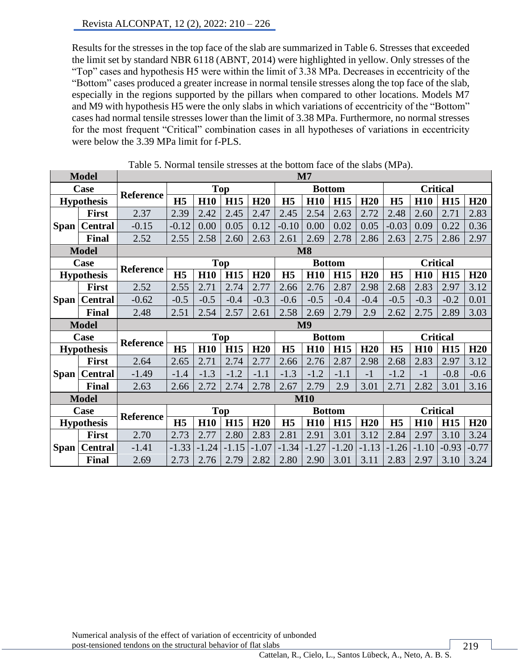Results for the stresses in the top face of the slab are summarized in Table 6. Stresses that exceeded the limit set by standard NBR 6118 (ABNT, 2014) were highlighted in yellow. Only stresses of the "Top" cases and hypothesis H5 were within the limit of 3.38 MPa. Decreases in eccentricity of the "Bottom" cases produced a greater increase in normal tensile stresses along the top face of the slab, especially in the regions supported by the pillars when compared to other locations. Models M7 and M9 with hypothesis H5 were the only slabs in which variations of eccentricity of the "Bottom" cases had normal tensile stresses lower than the limit of 3.38 MPa. Furthermore, no normal stresses for the most frequent "Critical" combination cases in all hypotheses of variations in eccentricity were below the 3.39 MPa limit for f-PLS.

|             | <b>Model</b>      | $\mathbf{M}$                                                       |                |            |            |         |                |                |                 |         |                |            |                 |         |
|-------------|-------------------|--------------------------------------------------------------------|----------------|------------|------------|---------|----------------|----------------|-----------------|---------|----------------|------------|-----------------|---------|
|             | Case              |                                                                    |                |            | <b>Top</b> |         |                |                | <b>Bottom</b>   |         |                |            | <b>Critical</b> |         |
|             | <b>Hypothesis</b> | <b>Reference</b>                                                   | H <sub>5</sub> | <b>H10</b> | <b>H15</b> | H20     | H <sub>5</sub> | <b>H10</b>     | <b>H15</b>      | H20     | H <sub>5</sub> | <b>H10</b> | <b>H15</b>      | H20     |
|             | First             | 2.37                                                               | 2.39           | 2.42       | 2.45       | 2.47    | 2.45           | 2.54           | 2.63            | 2.72    | 2.48           | 2.60       | 2.71            | 2.83    |
| Span        | <b>Central</b>    | $-0.15$                                                            | $-0.12$        | 0.00       | 0.05       | 0.12    | $-0.10$        | 0.00           | 0.02            | 0.05    | $-0.03$        | 0.09       | 0.22            | 0.36    |
|             | Final             | 2.52                                                               | 2.55           | 2.58       | 2.60       | 2.63    | 2.61           | 2.69           | 2.78            | 2.86    | 2.63           | 2.75       | 2.86            | 2.97    |
|             | <b>Model</b>      |                                                                    |                |            |            |         |                | <b>M8</b>      |                 |         |                |            |                 |         |
|             | Case              |                                                                    |                |            | <b>Top</b> |         |                |                | <b>Bottom</b>   |         |                |            | <b>Critical</b> |         |
|             | <b>Hypothesis</b> | Reference                                                          | H <sub>5</sub> | <b>H10</b> | <b>H15</b> | H20     | H <sub>5</sub> | <b>H10</b>     | <b>H15</b>      | H20     | H <sub>5</sub> | <b>H10</b> | <b>H15</b>      | H20     |
|             | <b>First</b>      | 2.52                                                               | 2.55           | 2.71       | 2.74       | 2.77    | 2.66           | 2.76           | 2.87            | 2.98    | 2.68           | 2.83       | 2.97            | 3.12    |
| Span        | <b>Central</b>    | $-0.62$                                                            | $-0.5$         | $-0.5$     | $-0.4$     | $-0.3$  | $-0.6$         | $-0.5$         | $-0.4$          | $-0.4$  | $-0.5$         | $-0.3$     | $-0.2$          | 0.01    |
|             | Final             | 2.48                                                               | 2.51           | 2.54       | 2.57       | 2.61    | 2.58           | 2.69           | 2.79            | 2.9     | 2.62           | 2.75       | 2.89            | 3.03    |
|             | <b>Model</b>      |                                                                    |                |            |            |         |                | M <sub>9</sub> |                 |         |                |            |                 |         |
|             | Case              | <b>Reference</b>                                                   |                |            | Top        |         |                | <b>Bottom</b>  |                 |         |                |            | <b>Critical</b> |         |
|             | <b>Hypothesis</b> |                                                                    | H <sub>5</sub> | <b>H10</b> | <b>H15</b> | H20     | H <sub>5</sub> | <b>H10</b>     | <b>H15</b>      | H20     | H <sub>5</sub> | <b>H10</b> | <b>H15</b>      | H20     |
|             | First             | 2.64                                                               | 2.65           | 2.71       | 2.74       | 2.77    | 2.66           | 2.76           | 2.87            | 2.98    | 2.68           | 2.83       | 2.97            | 3.12    |
| Span        | <b>Central</b>    | $-1.49$                                                            | $-1.4$         | $-1.3$     | $-1.2$     | $-1.1$  | $-1.3$         | $-1.2$         | $-1.1$          | $-1$    | $-1.2$         | $-1$       | $-0.8$          | $-0.6$  |
|             | <b>Final</b>      | 2.63                                                               | 2.66           | 2.72       | 2.74       | 2.78    | 2.67           | 2.79           | 2.9             | 3.01    | 2.71           | 2.82       | 3.01            | 3.16    |
|             | <b>Model</b>      |                                                                    |                |            |            |         |                | <b>M10</b>     |                 |         |                |            |                 |         |
|             | Case              | <b>Top</b><br><b>Critical</b><br><b>Bottom</b><br><b>Reference</b> |                |            |            |         |                |                |                 |         |                |            |                 |         |
|             | <b>Hypothesis</b> |                                                                    | H <sub>5</sub> | <b>H10</b> | <b>H15</b> | H20     | H <sub>5</sub> | <b>H10</b>     | H <sub>15</sub> | H20     | H <sub>5</sub> | <b>H10</b> | <b>H15</b>      | H20     |
|             | <b>First</b>      | 2.70                                                               | 2.73           | 2.77       | 2.80       | 2.83    | 2.81           | 2.91           | 3.01            | 3.12    | 2.84           | 2.97       | 3.10            | 3.24    |
| <b>Span</b> | <b>Central</b>    | $-1.41$                                                            | $-1.33$        | $-1.24$    | $-1.15$    | $-1.07$ | $-1.34$        | $-1.27$        | $-1.20$         | $-1.13$ | $-1.26$        | $-1.10$    | $-0.93$         | $-0.77$ |
|             | <b>Final</b>      | 2.69                                                               | 2.73           | 2.76       | 2.79       | 2.82    | 2.80           | 2.90           | 3.01            | 3.11    | 2.83           | 2.97       | 3.10            | 3.24    |

Table 5. Normal tensile stresses at the bottom face of the slabs (MPa).

Numerical analysis of the effect of variation of eccentricity of unbonded post-tensioned tendons on the structural behavior of flat slabs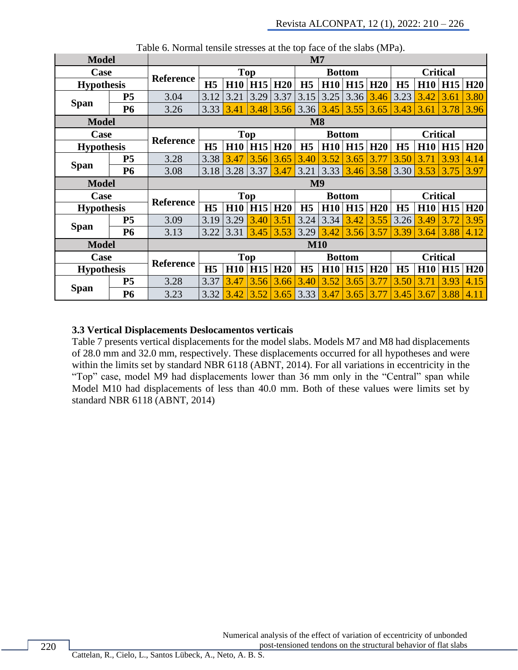| <b>Model</b>      |                   |                  |                |            |            |      | $\mathbf{M}$   |             |               |      |                 |            |                 |      |
|-------------------|-------------------|------------------|----------------|------------|------------|------|----------------|-------------|---------------|------|-----------------|------------|-----------------|------|
| Case              |                   | <b>Reference</b> |                |            | Top        |      |                |             | <b>Bottom</b> |      |                 |            | <b>Critical</b> |      |
|                   | <b>Hypothesis</b> |                  | H <sub>5</sub> |            | $H10$ H15  | H20  | H <sub>5</sub> | H10         | H15           | H20  | H <sub>5</sub>  |            | $H10$   $H15$   | H20  |
|                   | <b>P5</b>         | 3.04             | 3.12           | 3.21       | 3.29       | 3.37 | 3.15           | 3.25        | 3.36          | 3.46 | 3.23            | 3.42       | 3.61            | 3.80 |
| <b>Span</b>       | <b>P6</b>         | 3.26             | 3.33           | 3.41       | 3.48       | 3.56 |                | $3.36$ 3.45 | 3.55          | 3.65 | 3.43            | 3.61       | 3.78            | 3.96 |
| <b>Model</b>      |                   |                  |                |            |            |      | M8             |             |               |      |                 |            |                 |      |
| Case              |                   |                  |                |            | <b>Top</b> |      |                |             | <b>Bottom</b> |      |                 |            | <b>Critical</b> |      |
| <b>Hypothesis</b> |                   | <b>Reference</b> | H <sub>5</sub> | <b>H10</b> | <b>H15</b> | H20  | H <sub>5</sub> | H10         | <b>H15</b>    | H20  | H <sub>5</sub>  | <b>H10</b> | <b>H15</b>      | H20  |
|                   | <b>P5</b>         | 3.28             | 3.38           | 3.47       | 3.56       | 3.65 | 3.40           | 3.52        | 3.65          | 3.77 | 3.50            | 3.71       | 3.93            | 4.14 |
| <b>Span</b>       | <b>P6</b>         | 3.08             | 3.18           | 3.28       | 3.37       | 3.47 | 3.21           | $3.33$      | 3.46          | 3.58 | 3.30            | 3.53       | 3.75            | 3.97 |
| <b>Model</b>      |                   |                  |                |            |            |      | M <sub>9</sub> |             |               |      |                 |            |                 |      |
| Case              |                   |                  |                |            | <b>Top</b> |      | <b>Bottom</b>  |             |               |      | <b>Critical</b> |            |                 |      |
| <b>Hypothesis</b> |                   | <b>Reference</b> | H <sub>5</sub> |            | $H10$ H15  | H20  | H <sub>5</sub> | H10         | H15           | H20  | H <sub>5</sub>  |            | $H10$ H15       | H20  |
|                   | P <sub>5</sub>    | 3.09             | 3.19           | 3.29       | 3.40       | 3.51 | 3.24           | 3.34        | 3.42          | 3.55 | 3.26            | 3.49       | 3.72            | 3.95 |
| <b>Span</b>       | <b>P6</b>         | 3.13             | 3.22           | 3.31       | 3.45       | 3.53 | 3.29           | $3.42$      | 3.56          | 3.57 | 3.39            | 3.64       | 3.88            | 4.12 |
| <b>Model</b>      |                   |                  |                |            |            |      | <b>M10</b>     |             |               |      |                 |            |                 |      |
| Case              |                   |                  |                |            | Top        |      |                |             | <b>Bottom</b> |      |                 |            | <b>Critical</b> |      |
| <b>Hypothesis</b> |                   | <b>Reference</b> | H <sub>5</sub> | <b>H10</b> | <b>H15</b> | H20  | H <sub>5</sub> | H10         | H15           | H20  | H <sub>5</sub>  | H10        | <b>H15</b>      | H20  |
|                   |                   |                  |                |            |            |      |                |             |               |      |                 |            |                 |      |
| <b>Span</b>       | P <sub>5</sub>    | 3.28             | 3.37           | 3.47       | 3.56       | 3.66 | 3.40           | 3.52        | 3.65          | 3.77 | 3.50            | 3.71       | 3.93            | 4.15 |

Table 6. Normal tensile stresses at the top face of the slabs (MPa).

#### **3.3 Vertical Displacements Deslocamentos verticais**

Table 7 presents vertical displacements for the model slabs. Models M7 and M8 had displacements of 28.0 mm and 32.0 mm, respectively. These displacements occurred for all hypotheses and were within the limits set by standard NBR 6118 (ABNT, 2014). For all variations in eccentricity in the "Top" case, model M9 had displacements lower than 36 mm only in the "Central" span while Model M10 had displacements of less than 40.0 mm. Both of these values were limits set by standard NBR 6118 (ABNT, 2014)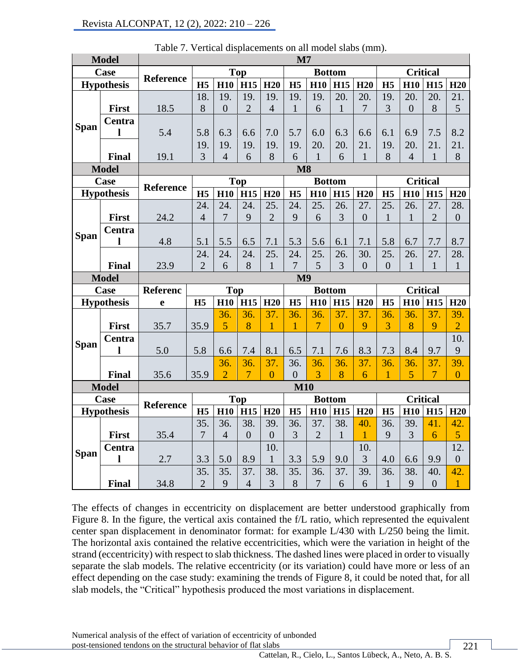|             | <b>Model</b>      | $\mathbf{M}$     |                       |                |                       |                 |                        |                |                |                 |                |                |                       |                     |
|-------------|-------------------|------------------|-----------------------|----------------|-----------------------|-----------------|------------------------|----------------|----------------|-----------------|----------------|----------------|-----------------------|---------------------|
|             | Case              | <b>Reference</b> |                       |                | <b>Top</b>            |                 |                        |                | <b>Bottom</b>  |                 |                |                | <b>Critical</b>       |                     |
|             | <b>Hypothesis</b> |                  | H <sub>5</sub>        | <b>H10</b>     | <b>H15</b>            | H <sub>20</sub> | H <sub>5</sub>         | <b>H10</b>     | <b>H15</b>     | H20             | H <sub>5</sub> | <b>H10</b>     | H15                   | H20                 |
|             |                   |                  | 18.                   | 19.            | 19.                   | 19.             | 19.                    | 19.            | 20.            | 20.             | 19.            | 20.            | 20.                   | 21.                 |
|             | First             | 18.5             | 8                     | $\overline{0}$ | $\overline{2}$        | $\overline{4}$  | $\mathbf{1}$           | 6              | $\mathbf{1}$   | $\overline{7}$  | 3              | $\overline{0}$ | 8                     | 5                   |
|             | Centra            |                  |                       |                |                       |                 |                        |                |                |                 |                |                |                       |                     |
| <b>Span</b> | 1                 | 5.4              | 5.8                   | 6.3            | 6.6                   | 7.0             | 5.7                    | 6.0            | 6.3            | 6.6             | 6.1            | 6.9            | 7.5                   | 8.2                 |
|             |                   |                  | 19.                   | 19.            | 19.                   | 19.             | 19.                    | 20.            | 20.            | 21.             | 19.            | 20.            | 21.                   | 21.                 |
|             | Final             | 19.1             | 3                     | $\overline{4}$ | 6                     | 8               | 6                      | $\mathbf{1}$   | 6              | $\mathbf{1}$    | 8              | $\overline{4}$ | $\mathbf{1}$          | 8                   |
|             | <b>Model</b>      |                  |                       |                |                       |                 | $\overline{\text{M8}}$ |                |                |                 |                |                |                       |                     |
|             | Case              | Reference        |                       |                | <b>Top</b>            |                 |                        |                | <b>Bottom</b>  |                 |                |                | <b>Critical</b>       |                     |
|             | <b>Hypothesis</b> |                  | H <sub>5</sub>        | <b>H10</b>     | <b>H15</b>            | H <sub>20</sub> | H <sub>5</sub>         | <b>H10</b>     | <b>H15</b>     | H <sub>20</sub> | H <sub>5</sub> | <b>H10</b>     | <b>H15</b>            | H20                 |
|             |                   |                  | 24.                   | 24.            | 24.                   | 25.             | 24.                    | 25.            | 26.            | 27.             | 25.            | 26.            | 27.                   | 28.                 |
|             | First             | 24.2             | $\overline{4}$        | $\overline{7}$ | 9                     | $\overline{2}$  | 9                      | 6              | 3              | $\overline{0}$  | $\mathbf{1}$   | 1              | $\overline{2}$        | $\overline{0}$      |
| <b>Span</b> | Centra            |                  |                       |                |                       |                 |                        |                |                |                 |                |                |                       |                     |
|             | l                 | 4.8              | 5.1                   | 5.5            | 6.5                   | 7.1             | 5.3                    | 5.6            | 6.1            | 7.1             | 5.8            | 6.7            | 7.7                   | 8.7                 |
|             |                   |                  | 24.                   | 24.            | 24.                   | 25.             | 24.                    | 25.            | 26.            | 30.             | 25.            | 26.            | 27.                   | 28.                 |
|             | Final             | 23.9             | $\overline{2}$        | 6              | 8                     | $\mathbf{1}$    | 7                      | 5              | 3              | $\overline{0}$  | $\overline{0}$ | $\mathbf{1}$   | 1                     | $\mathbf{1}$        |
|             | <b>Model</b>      |                  |                       |                |                       |                 | M <sub>9</sub>         |                |                |                 |                |                |                       |                     |
|             |                   |                  |                       |                |                       |                 |                        |                |                |                 |                |                |                       |                     |
|             | Case              | <b>Referenc</b>  |                       | <b>Top</b>     |                       |                 |                        | <b>Bottom</b>  |                |                 |                |                | <b>Critical</b>       |                     |
|             | <b>Hypothesis</b> | e                | H <sub>5</sub>        | <b>H10</b>     | <b>H15</b>            | H20             | H <sub>5</sub>         | <b>H10</b>     | <b>H15</b>     | H20             | H <sub>5</sub> | <b>H10</b>     | <b>H15</b>            | H20                 |
|             |                   |                  |                       | 36.            | 36.                   | 37.             | 36.                    | 36.            | 37.            | 37.             | 36.            | 36.            | 37.                   | 39.                 |
|             | First             | 35.7             | 35.9                  | 5              | 8                     | 1               | $\mathbf{1}$           | $\overline{7}$ | $\overline{0}$ | 9               | 3              | 8              | 9                     | $\overline{2}$      |
|             | Centra            |                  |                       |                |                       |                 |                        |                |                |                 |                |                |                       | 10.                 |
| <b>Span</b> |                   | 5.0              | 5.8                   | 6.6            | 7.4                   | 8.1             | 6.5                    | 7.1            | 7.6            | 8.3             | 7.3            | 8.4            | 9.7                   | 9                   |
|             |                   |                  |                       | 36.            | 36.                   | 37.             | 36.                    | 36.            | 36.            | 37.             | 36.            | 36.            | 37.                   | 39.                 |
|             | Final             | 35.6             | 35.9                  | $\overline{2}$ | $\overline{7}$        | $\overline{0}$  | $\overline{0}$         | $\overline{3}$ | 8              | 6               | 1              | 5              | $\overline{7}$        | $\overline{0}$      |
|             | <b>Model</b>      |                  |                       |                |                       |                 | <b>M10</b>             |                |                |                 |                |                |                       |                     |
|             | Case              |                  |                       |                | <b>Top</b>            |                 |                        |                | <b>Bottom</b>  |                 |                |                | <b>Critical</b>       |                     |
|             | <b>Hypothesis</b> | Reference        | H <sub>5</sub>        | <b>H10</b>     | <b>H15</b>            | H <sub>20</sub> | H <sub>5</sub>         | <b>H10</b>     | <b>H15</b>     | H20             | H <sub>5</sub> | <b>H10</b>     | <b>H15</b>            | H20                 |
|             |                   |                  | 35.                   | 36.            | 38.                   | 39.             | 36.                    | 37.            | 38.            | 40.             | 36.            | 39.            | 41.                   | 42.                 |
|             | First             | 35.4             | $\overline{7}$        | $\overline{4}$ | $\overline{0}$        | $\overline{0}$  | 3                      | $\overline{2}$ | $\mathbf{1}$   | 1               | 9              | 3              | 6                     | 5                   |
|             | Centra            |                  |                       |                |                       | 10.             |                        |                |                | 10.             |                |                |                       | 12.                 |
| <b>Span</b> | l                 | 2.7              | 3.3                   | 5.0            | 8.9                   | $\mathbf{1}$    | 3.3                    | 5.9            | 9.0            | 3               | 4.0            | 6.6            | 9.9                   | $\boldsymbol{0}$    |
|             | Final             | 34.8             | 35.<br>$\overline{2}$ | 35.<br>9       | 37.<br>$\overline{4}$ | 38.<br>3        | 35.<br>8               | 36.<br>$\tau$  | 37.<br>6       | 39.<br>6        | 36.<br>1       | 38.<br>9       | 40.<br>$\overline{0}$ | 42.<br>$\mathbf{1}$ |

Table 7. Vertical displacements on all model slabs (mm).

The effects of changes in eccentricity on displacement are better understood graphically from Figure 8. In the figure, the vertical axis contained the f/L ratio, which represented the equivalent center span displacement in denominator format: for example L/430 with L/250 being the limit. The horizontal axis contained the relative eccentricities, which were the variation in height of the strand (eccentricity) with respect to slab thickness. The dashed lines were placed in order to visually separate the slab models. The relative eccentricity (or its variation) could have more or less of an effect depending on the case study: examining the trends of Figure 8, it could be noted that, for all slab models, the "Critical" hypothesis produced the most variations in displacement.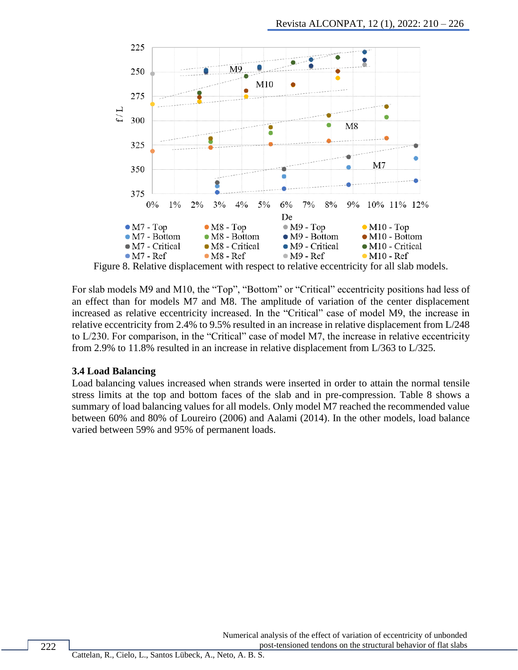

Figure 8. Relative displacement with respect to relative eccentricity for all slab models.

For slab models M9 and M10, the "Top", "Bottom" or "Critical" eccentricity positions had less of an effect than for models M7 and M8. The amplitude of variation of the center displacement increased as relative eccentricity increased. In the "Critical" case of model M9, the increase in relative eccentricity from 2.4% to 9.5% resulted in an increase in relative displacement from L/248 to L/230. For comparison, in the "Critical" case of model M7, the increase in relative eccentricity from 2.9% to 11.8% resulted in an increase in relative displacement from L/363 to L/325.

#### **3.4 Load Balancing**

Load balancing values increased when strands were inserted in order to attain the normal tensile stress limits at the top and bottom faces of the slab and in pre-compression. Table 8 shows a summary of load balancing values for all models. Only model M7 reached the recommended value between 60% and 80% of Loureiro (2006) and Aalami (2014). In the other models, load balance varied between 59% and 95% of permanent loads.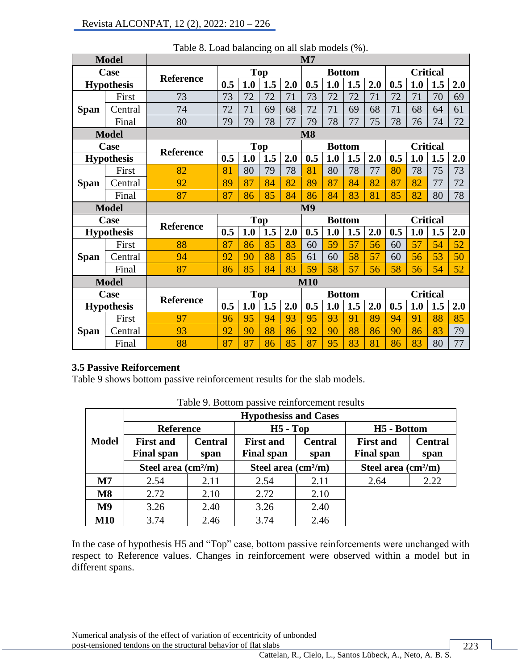|             | <b>Model</b>      |                                                 |     |     |            |     | $\mathbf{M}$   |               |     |     |                 |     |                 |     |
|-------------|-------------------|-------------------------------------------------|-----|-----|------------|-----|----------------|---------------|-----|-----|-----------------|-----|-----------------|-----|
|             | Case              |                                                 |     |     | <b>Top</b> |     |                | <b>Bottom</b> |     |     |                 |     | <b>Critical</b> |     |
|             | <b>Hypothesis</b> | <b>Reference</b>                                | 0.5 | 1.0 | 1.5        | 2.0 | 0.5            | 1.0           | 1.5 | 2.0 | 0.5             | 1.0 | 1.5             | 2.0 |
|             | First             | 73                                              | 73  | 72  | 72         | 71  | 73             | 72            | 72  | 71  | 72              | 71  | 70              | 69  |
| <b>Span</b> | Central           | 74                                              | 72  | 71  | 69         | 68  | 72             | 71            | 69  | 68  | 71              | 68  | 64              | 61  |
|             | Final             | 80                                              | 79  | 79  | 78         | 77  | 79             | 78            | 77  | 75  | 78              | 76  | 74              | 72  |
|             | <b>Model</b>      |                                                 |     |     |            |     | <b>M8</b>      |               |     |     |                 |     |                 |     |
|             | Case              | <b>Reference</b>                                |     |     | <b>Top</b> |     |                | <b>Bottom</b> |     |     |                 |     | <b>Critical</b> |     |
|             | <b>Hypothesis</b> |                                                 | 0.5 | 1.0 | 1.5        | 2.0 | 0.5            | 1.0           | 1.5 | 2.0 | 0.5             | 1.0 | 1.5             | 2.0 |
|             | First             | 82                                              | 81  | 80  | 79         | 78  | 81             | 80            | 78  | 77  | 80              | 78  | 75              | 73  |
| <b>Span</b> | Central           | 92                                              | 89  | 87  | 84         | 82  | 89             | 87            | 84  | 82  | 87              | 82  | 77              | 72  |
|             | Final             | 87                                              | 87  | 86  | 85         | 84  | 86             | 84            | 83  | 81  | 85              | 82  | 80              | 78  |
|             | <b>Model</b>      |                                                 |     |     |            |     | M <sub>9</sub> |               |     |     |                 |     |                 |     |
|             | Case              | <b>Reference</b>                                |     |     | <b>Top</b> |     |                | <b>Bottom</b> |     |     |                 |     | <b>Critical</b> |     |
|             | <b>Hypothesis</b> |                                                 | 0.5 | 1.0 | 1.5        | 2.0 | 0.5            | 1.0           | 1.5 | 2.0 | 0.5             | 1.0 | 1.5             | 2.0 |
|             | First             | 88                                              | 87  | 86  | 85         | 83  | 60             | 59            | 57  | 56  | 60              | 57  | 54              | 52  |
| <b>Span</b> | Central           | 94                                              | 92  | 90  | 88         | 85  | 61             | 60            | 58  | 57  | 60              | 56  | 53              | 50  |
|             | Final             | 87                                              | 86  | 85  | 84         | 83  | 59             | 58            | 57  | 56  | 58              | 56  | 54              | 52  |
|             | <b>Model</b>      |                                                 |     |     |            |     | <b>M10</b>     |               |     |     |                 |     |                 |     |
|             | Case              | <b>Top</b><br><b>Bottom</b><br><b>Reference</b> |     |     |            |     |                |               |     |     | <b>Critical</b> |     |                 |     |
|             | <b>Hypothesis</b> |                                                 | 0.5 | 1.0 | 1.5        | 2.0 | 0.5            | 1.0           | 1.5 | 2.0 | 0.5             | 1.0 | 1.5             | 2.0 |
|             | First             | 97                                              | 96  | 95  | 94         | 93  | 95             | 93            | 91  | 89  | 94              | 91  | 88              | 85  |
| <b>Span</b> | Central           | 93                                              | 92  | 90  | 88         | 86  | 92             | 90            | 88  | 86  | 90              | 86  | 83              | 79  |
|             | Final             | 88                                              | 87  | 87  | 86         | 85  | 87             | 95            | 83  | 81  | 86              | 83  | 80              | 77  |

Table 8. Load balancing on all slab models (%).

### **3.5 Passive Reiforcement**

Table 9 shows bottom passive reinforcement results for the slab models.

|                        |                                       |                        | <b>Hypothesiss and Cases</b>          |                        |                                       |                        |  |
|------------------------|---------------------------------------|------------------------|---------------------------------------|------------------------|---------------------------------------|------------------------|--|
|                        | <b>Reference</b>                      |                        | $H5 - Top$                            |                        | H <sub>5</sub> - Bottom               |                        |  |
| <b>Model</b>           | <b>First and</b><br><b>Final span</b> | <b>Central</b><br>span | <b>First and</b><br><b>Final span</b> | <b>Central</b><br>span | <b>First and</b><br><b>Final span</b> | <b>Central</b><br>span |  |
|                        | Steel area $\text{(cm}^2\text{/m)}$   |                        | Steel area $\text{(cm}^2\text{/m)}$   |                        | Steel area $\text{(cm}^2\text{/m)}$   |                        |  |
| $\mathbf{M}$           | 2.54                                  | 2.11                   | 2.54                                  | 2.11                   | 2.64                                  | 2.22                   |  |
| $\overline{\text{M8}}$ | 2.72                                  | 2.10                   | 2.72                                  | 2.10                   |                                       |                        |  |
| M <sub>9</sub>         | 3.26                                  | 2.40                   | 3.26                                  | 2.40                   |                                       |                        |  |
| <b>M10</b>             | 3.74                                  | 2.46                   | 3.74                                  | 2.46                   |                                       |                        |  |

| Table 9. Bottom passive reinforcement results |  |  |  |  |  |
|-----------------------------------------------|--|--|--|--|--|
|-----------------------------------------------|--|--|--|--|--|

In the case of hypothesis H5 and "Top" case, bottom passive reinforcements were unchanged with respect to Reference values. Changes in reinforcement were observed within a model but in different spans.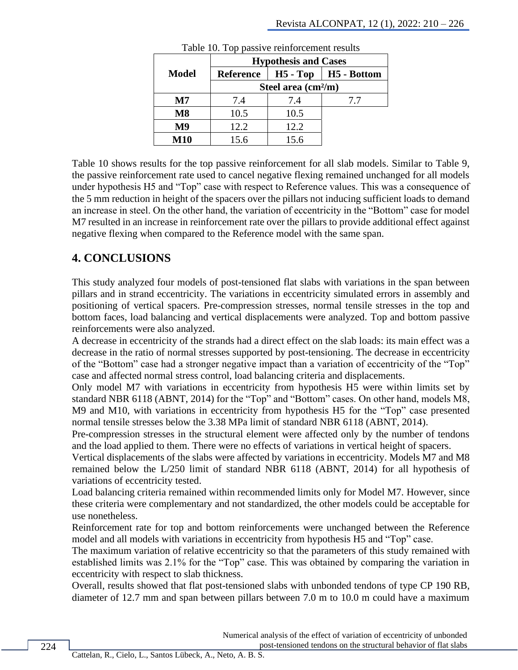|                |                  | <b>Hypothesis and Cases</b>         |               |
|----------------|------------------|-------------------------------------|---------------|
| Model          | <b>Reference</b> | $H5 - Top$                          | $H5 - Bottom$ |
|                |                  | Steel area $\text{(cm}^2\text{/m)}$ |               |
| Μ7             | 7.4              | 7.4                                 | 7.7           |
| $\mathbf{M}8$  | 10.5             | 10.5                                |               |
| M <sub>9</sub> | 12.2             | 12.2                                |               |
| M10            | 15.6             | 15.6                                |               |

Table 10. Top passive reinforcement results

Table 10 shows results for the top passive reinforcement for all slab models. Similar to Table 9, the passive reinforcement rate used to cancel negative flexing remained unchanged for all models under hypothesis H5 and "Top" case with respect to Reference values. This was a consequence of the 5 mm reduction in height of the spacers over the pillars not inducing sufficient loads to demand an increase in steel. On the other hand, the variation of eccentricity in the "Bottom" case for model M7 resulted in an increase in reinforcement rate over the pillars to provide additional effect against negative flexing when compared to the Reference model with the same span.

# **4. CONCLUSIONS**

This study analyzed four models of post-tensioned flat slabs with variations in the span between pillars and in strand eccentricity. The variations in eccentricity simulated errors in assembly and positioning of vertical spacers. Pre-compression stresses, normal tensile stresses in the top and bottom faces, load balancing and vertical displacements were analyzed. Top and bottom passive reinforcements were also analyzed.

A decrease in eccentricity of the strands had a direct effect on the slab loads: its main effect was a decrease in the ratio of normal stresses supported by post-tensioning. The decrease in eccentricity of the "Bottom" case had a stronger negative impact than a variation of eccentricity of the "Top" case and affected normal stress control, load balancing criteria and displacements.

Only model M7 with variations in eccentricity from hypothesis H5 were within limits set by standard NBR 6118 (ABNT, 2014) for the "Top" and "Bottom" cases. On other hand, models M8, M9 and M10, with variations in eccentricity from hypothesis H5 for the "Top" case presented normal tensile stresses below the 3.38 MPa limit of standard NBR 6118 (ABNT, 2014).

Pre-compression stresses in the structural element were affected only by the number of tendons and the load applied to them. There were no effects of variations in vertical height of spacers.

Vertical displacements of the slabs were affected by variations in eccentricity. Models M7 and M8 remained below the L/250 limit of standard NBR 6118 (ABNT, 2014) for all hypothesis of variations of eccentricity tested.

Load balancing criteria remained within recommended limits only for Model M7. However, since these criteria were complementary and not standardized, the other models could be acceptable for use nonetheless.

Reinforcement rate for top and bottom reinforcements were unchanged between the Reference model and all models with variations in eccentricity from hypothesis H5 and "Top" case.

The maximum variation of relative eccentricity so that the parameters of this study remained with established limits was 2.1% for the "Top" case. This was obtained by comparing the variation in eccentricity with respect to slab thickness.

Overall, results showed that flat post-tensioned slabs with unbonded tendons of type CP 190 RB, diameter of 12.7 mm and span between pillars between 7.0 m to 10.0 m could have a maximum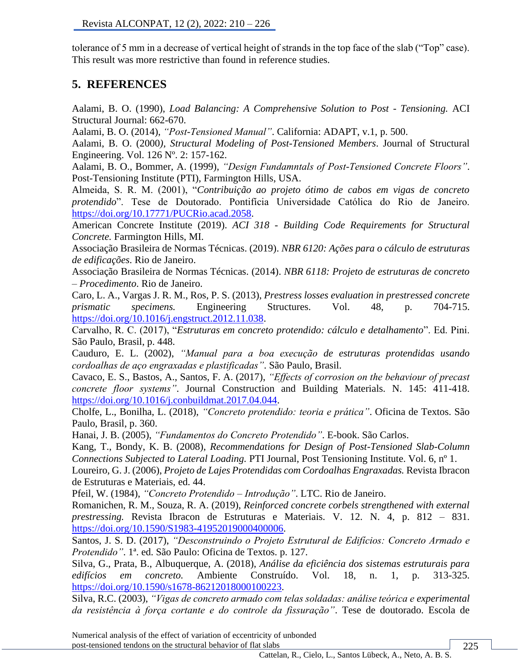tolerance of 5 mm in a decrease of vertical height of strands in the top face of the slab ("Top" case). This result was more restrictive than found in reference studies.

# **5. REFERENCES**

Aalami, B. O. (1990), *Load Balancing: A Comprehensive Solution to Post - Tensioning.* ACI Structural Journal: 662-670.

Aalami, B. O. (2014), *"Post-Tensioned Manual"*. California: ADAPT, v.1, p. 500.

Aalami, B. O. (2000*), Structural Modeling of Post-Tensioned Members*. Journal of Structural Engineering. Vol. 126 Nº. 2: 157-162.

Aalami, B. O., Bommer, A. (1999), *"Design Fundamntals of Post-Tensioned Concrete Floors"*. Post-Tensioning Institute (PTI), Farmington Hills, USA.

Almeida, S. R. M. (2001), "*Contribuição ao projeto ótimo de cabos em vigas de concreto protendido*". Tese de Doutorado. Pontifícia Universidade Católica do Rio de Janeiro. [https://doi.org/10.17771/PUCRio.acad.2058.](https://doi.org/10.17771/PUCRio.acad.2058)

American Concrete Institute (2019). *ACI 318 - Building Code Requirements for Structural Concrete.* Farmington Hills, MI.

Associação Brasileira de Normas Técnicas. (2019). *NBR 6120: Ações para o cálculo de estruturas de edificações*. Rio de Janeiro.

Associação Brasileira de Normas Técnicas. (2014). *NBR 6118: Projeto de estruturas de concreto – Procedimento*. Rio de Janeiro.

[Ca](https://www.mendeley.com/authors/55481419200)ro, L. A., [Vargas J. R. M., R](https://www.mendeley.com/profiles/jos-r-mart-vargas/)os, [P. S.](https://www.mendeley.com/profiles/pedro-serna-ros/) (2013), *Prestress losses evaluation in prestressed concrete prismatic specimens.* [Engineering Structures.](https://www.sciencedirect.com/science/journal/01410296) Vol. 48, p. 704-715. [https://doi.org/10.1016/j.engstruct.2012.11.038.](https://doi.org/10.1016/j.engstruct.2012.11.038)

Carvalho, R. C. (2017), "*Estruturas em concreto protendido: cálculo e detalhamento*". Ed. Pini. São Paulo, Brasil, p. 448.

Cauduro, E. L. (2002), *"Manual para a boa execução de estruturas protendidas usando cordoalhas de aço engraxadas e plastificadas"*. São Paulo, Brasil.

Cavaco, E. S., Bastos, A., Santos, F. A. (2017), *"Effects of corrosion on the behaviour of precast concrete floor systems"*. Journal Construction and Building Materials. N. 145: 411-418. [https://doi.org/10.1016/j.conbuildmat.2017.04.044.](https://doi.org/10.1016/j.conbuildmat.2017.04.044)

Cholfe, L., Bonilha, L. (2018), *"Concreto protendido: teoria e prática"*. Oficina de Textos. São Paulo, Brasil, p. 360.

Hanai, J. B. (2005), *"Fundamentos do Concreto Protendido"*. E-book. São Carlos.

Kang, T., Bondy, K. B. (2008), *[Recommendations for Design of Post-Tensioned Slab-Column](https://www.researchgate.net/publication/272238002_Recommendations_for_Design_of_Post-Tensioned_Slab-Column_Connections_Subjected_to_Lateral_Loading?enrichId=rgreq-53f15a6f8be873c55a7d5822a0dccfaa-XXX&enrichSource=Y292ZXJQYWdlOzI3MjIzODAwMjtBUzoyMDM0NDcyMjg5OTc2MzNAMTQyNTUxNzAwNzM0Ng%3D%3D&el=1_x_3&_esc=publicationCoverPdf)  [Connections Subjected to Lateral Loading.](https://www.researchgate.net/publication/272238002_Recommendations_for_Design_of_Post-Tensioned_Slab-Column_Connections_Subjected_to_Lateral_Loading?enrichId=rgreq-53f15a6f8be873c55a7d5822a0dccfaa-XXX&enrichSource=Y292ZXJQYWdlOzI3MjIzODAwMjtBUzoyMDM0NDcyMjg5OTc2MzNAMTQyNTUxNzAwNzM0Ng%3D%3D&el=1_x_3&_esc=publicationCoverPdf)* PTI Journal, Post Tensioning Institute. Vol. 6, nº 1.

Loureiro, G. J. (2006), *Projeto de Lajes Protendidas com Cordoalhas Engraxadas.* Revista Ibracon de Estruturas e Materiais, ed. 44.

Pfeil, W. (1984), *"Concreto Protendido – Introdução"*. LTC. Rio de Janeiro.

Romanichen, R. M., Souza, R. A. (2019), *Reinforced concrete corbels strengthened with external prestressing.* Revista Ibracon de Estruturas e Materiais. V. 12. N. 4, p. 812 – 831. [https://doi.org/10.1590/S1983-41952019000400006.](https://doi.org/10.1590/S1983-41952019000400006)

Santos, J. S. D. (2017), *"Desconstruindo o Projeto Estrutural de Edifícios: Concreto Armado e Protendido"*. 1ª. ed. São Paulo: Oficina de Textos. p. 127.

Silva, G., Prata, B., Albuquerque, A. (2018), *Análise da eficiência dos sistemas estruturais para edifícios em concreto.* Ambiente Construído. Vol. 18, n. 1, p. 313-325. [https://doi.org/10.1590/s1678-86212018000100223.](https://doi.org/10.1590/s1678-86212018000100223)

Silva, R.C. (2003), *"Vigas de concreto armado com telas soldadas: análise teórica e experimental da resistência à força cortante e do controle da fissuração"*. Tese de doutorado. Escola de

Numerical analysis of the effect of variation of eccentricity of unbonded post-tensioned tendons on the structural behavior of flat slabs